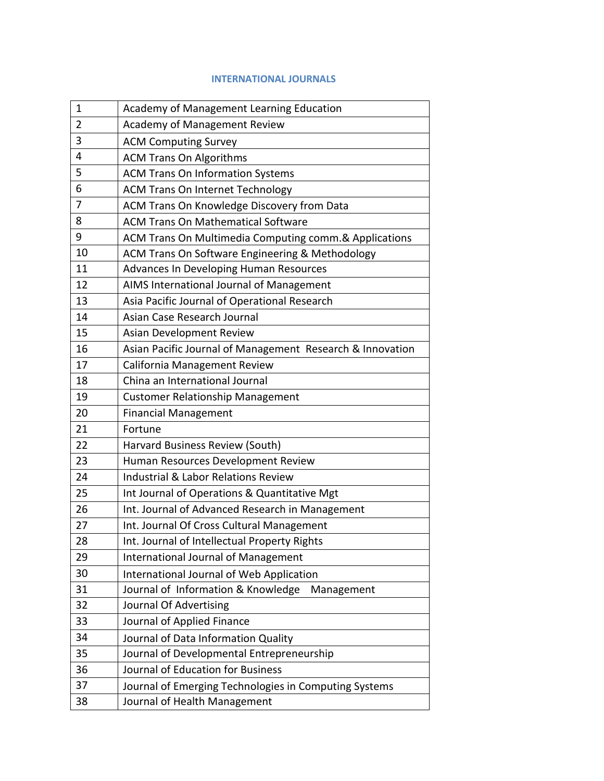## **INTERNATIONAL JOURNALS**

| 1  | Academy of Management Learning Education                  |
|----|-----------------------------------------------------------|
| 2  | <b>Academy of Management Review</b>                       |
| 3  | <b>ACM Computing Survey</b>                               |
| 4  | <b>ACM Trans On Algorithms</b>                            |
| 5  | <b>ACM Trans On Information Systems</b>                   |
| 6  | <b>ACM Trans On Internet Technology</b>                   |
| 7  | ACM Trans On Knowledge Discovery from Data                |
| 8  | <b>ACM Trans On Mathematical Software</b>                 |
| 9  | ACM Trans On Multimedia Computing comm.& Applications     |
| 10 | ACM Trans On Software Engineering & Methodology           |
| 11 | Advances In Developing Human Resources                    |
| 12 | AIMS International Journal of Management                  |
| 13 | Asia Pacific Journal of Operational Research              |
| 14 | Asian Case Research Journal                               |
| 15 | Asian Development Review                                  |
| 16 | Asian Pacific Journal of Management Research & Innovation |
| 17 | California Management Review                              |
| 18 | China an International Journal                            |
| 19 | <b>Customer Relationship Management</b>                   |
| 20 | <b>Financial Management</b>                               |
| 21 | Fortune                                                   |
| 22 | Harvard Business Review (South)                           |
| 23 | Human Resources Development Review                        |
| 24 | <b>Industrial &amp; Labor Relations Review</b>            |
| 25 | Int Journal of Operations & Quantitative Mgt              |
| 26 | Int. Journal of Advanced Research in Management           |
| 27 | Int. Journal Of Cross Cultural Management                 |
| 28 | Int. Journal of Intellectual Property Rights              |
| 29 | <b>International Journal of Management</b>                |
| 30 | International Journal of Web Application                  |
| 31 | Journal of Information & Knowledge<br>Management          |
| 32 | Journal Of Advertising                                    |
| 33 | Journal of Applied Finance                                |
| 34 | Journal of Data Information Quality                       |
| 35 | Journal of Developmental Entrepreneurship                 |
| 36 | Journal of Education for Business                         |
| 37 | Journal of Emerging Technologies in Computing Systems     |
| 38 | Journal of Health Management                              |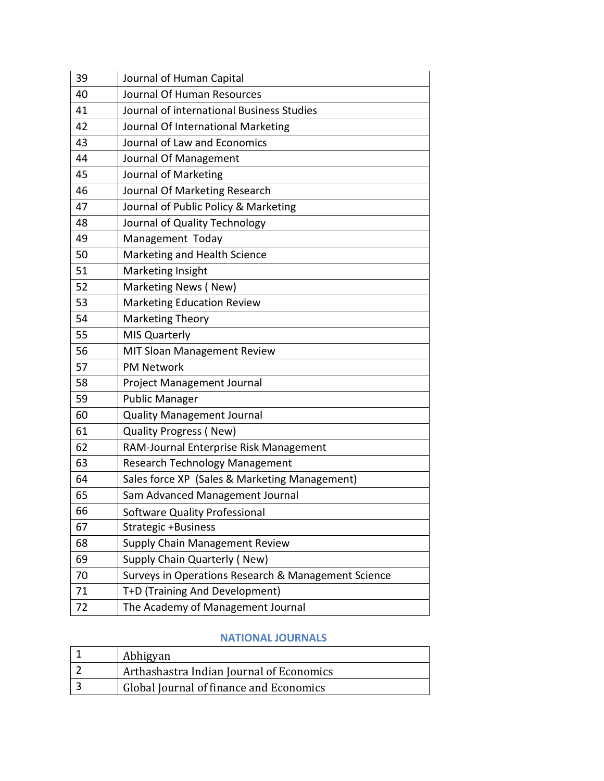| 39 | Journal of Human Capital                            |
|----|-----------------------------------------------------|
| 40 | Journal Of Human Resources                          |
| 41 | Journal of international Business Studies           |
| 42 | Journal Of International Marketing                  |
| 43 | Journal of Law and Economics                        |
| 44 | Journal Of Management                               |
| 45 | Journal of Marketing                                |
| 46 | Journal Of Marketing Research                       |
| 47 | Journal of Public Policy & Marketing                |
| 48 | Journal of Quality Technology                       |
| 49 | Management Today                                    |
| 50 | Marketing and Health Science                        |
| 51 | Marketing Insight                                   |
| 52 | Marketing News (New)                                |
| 53 | <b>Marketing Education Review</b>                   |
| 54 | <b>Marketing Theory</b>                             |
| 55 | <b>MIS Quarterly</b>                                |
| 56 | <b>MIT Sloan Management Review</b>                  |
| 57 | <b>PM Network</b>                                   |
| 58 | Project Management Journal                          |
| 59 | <b>Public Manager</b>                               |
| 60 | <b>Quality Management Journal</b>                   |
| 61 | <b>Quality Progress (New)</b>                       |
| 62 | RAM-Journal Enterprise Risk Management              |
| 63 | Research Technology Management                      |
| 64 | Sales force XP (Sales & Marketing Management)       |
| 65 | Sam Advanced Management Journal                     |
| 66 | Software Quality Professional                       |
| 67 | Strategic +Business                                 |
| 68 | <b>Supply Chain Management Review</b>               |
| 69 | Supply Chain Quarterly (New)                        |
| 70 | Surveys in Operations Research & Management Science |
| 71 | T+D (Training And Development)                      |
| 72 | The Academy of Management Journal                   |

## **NATIONAL JOURNALS**

| Abhigyan                                 |
|------------------------------------------|
| Arthashastra Indian Journal of Economics |
| Global Journal of finance and Economics  |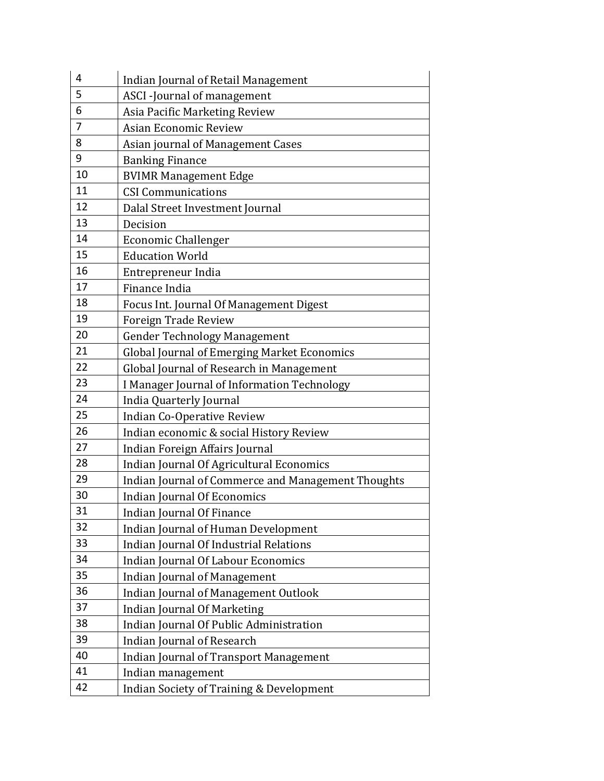| 4  | Indian Journal of Retail Management                 |
|----|-----------------------------------------------------|
| 5  | ASCI-Journal of management                          |
| 6  | Asia Pacific Marketing Review                       |
| 7  | Asian Economic Review                               |
| 8  | Asian journal of Management Cases                   |
| 9  | <b>Banking Finance</b>                              |
| 10 | <b>BVIMR Management Edge</b>                        |
| 11 | <b>CSI Communications</b>                           |
| 12 | Dalal Street Investment Journal                     |
| 13 | Decision                                            |
| 14 | <b>Economic Challenger</b>                          |
| 15 | <b>Education World</b>                              |
| 16 | Entrepreneur India                                  |
| 17 | Finance India                                       |
| 18 | Focus Int. Journal Of Management Digest             |
| 19 | <b>Foreign Trade Review</b>                         |
| 20 | <b>Gender Technology Management</b>                 |
| 21 | <b>Global Journal of Emerging Market Economics</b>  |
| 22 | Global Journal of Research in Management            |
| 23 | I Manager Journal of Information Technology         |
| 24 | India Quarterly Journal                             |
| 25 | Indian Co-Operative Review                          |
| 26 | Indian economic & social History Review             |
| 27 | Indian Foreign Affairs Journal                      |
| 28 | Indian Journal Of Agricultural Economics            |
| 29 | Indian Journal of Commerce and Management Thoughts  |
| 30 | <b>Indian Journal Of Economics</b>                  |
| 31 | Indian Journal Of Finance                           |
| 32 | <b>Indian Journal of Human Development</b>          |
| 33 | Indian Journal Of Industrial Relations              |
| 34 | Indian Journal Of Labour Economics                  |
| 35 | <b>Indian Journal of Management</b>                 |
| 36 | Indian Journal of Management Outlook                |
| 37 | Indian Journal Of Marketing                         |
| 38 | Indian Journal Of Public Administration             |
| 39 | Indian Journal of Research                          |
| 40 | Indian Journal of Transport Management              |
| 41 | Indian management                                   |
| 42 | <b>Indian Society of Training &amp; Development</b> |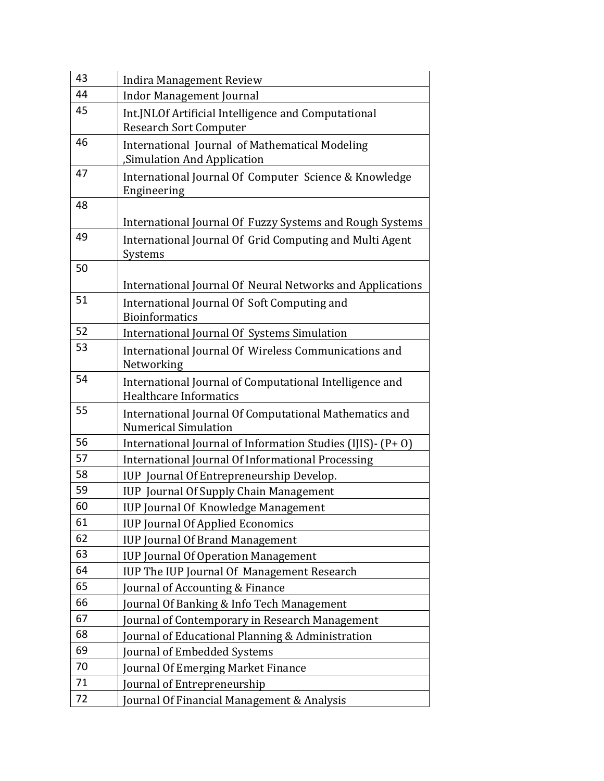| 43 | <b>Indira Management Review</b>                                                          |
|----|------------------------------------------------------------------------------------------|
| 44 | <b>Indor Management Journal</b>                                                          |
| 45 | Int. JNLOf Artificial Intelligence and Computational<br><b>Research Sort Computer</b>    |
| 46 | International Journal of Mathematical Modeling<br>Simulation And Application             |
| 47 | International Journal Of Computer Science & Knowledge<br>Engineering                     |
| 48 |                                                                                          |
|    | International Journal Of Fuzzy Systems and Rough Systems                                 |
| 49 | International Journal Of Grid Computing and Multi Agent<br>Systems                       |
| 50 |                                                                                          |
| 51 | International Journal Of Neural Networks and Applications                                |
|    | International Journal Of Soft Computing and<br><b>Bioinformatics</b>                     |
| 52 | International Journal Of Systems Simulation                                              |
| 53 | International Journal Of Wireless Communications and<br>Networking                       |
| 54 | International Journal of Computational Intelligence and<br><b>Healthcare Informatics</b> |
| 55 | International Journal Of Computational Mathematics and<br><b>Numerical Simulation</b>    |
| 56 | International Journal of Information Studies (IJIS) - (P+0)                              |
| 57 | International Journal Of Informational Processing                                        |
| 58 | IUP Journal Of Entrepreneurship Develop.                                                 |
| 59 | <b>IUP</b> Journal Of Supply Chain Management                                            |
| 60 | <b>IUP Journal Of Knowledge Management</b>                                               |
| 61 | <b>IUP Journal Of Applied Economics</b>                                                  |
| 62 | <b>IUP Journal Of Brand Management</b>                                                   |
| 63 | <b>IUP Journal Of Operation Management</b>                                               |
| 64 | IUP The IUP Journal Of Management Research                                               |
| 65 | ournal of Accounting & Finance                                                           |
| 66 | ournal Of Banking & Info Tech Management                                                 |
| 67 | ournal of Contemporary in Research Management                                            |
| 68 | Journal of Educational Planning & Administration                                         |
| 69 | ournal of Embedded Systems                                                               |
| 70 | Journal Of Emerging Market Finance                                                       |
| 71 | ournal of Entrepreneurship                                                               |
| 72 | Journal Of Financial Management & Analysis                                               |